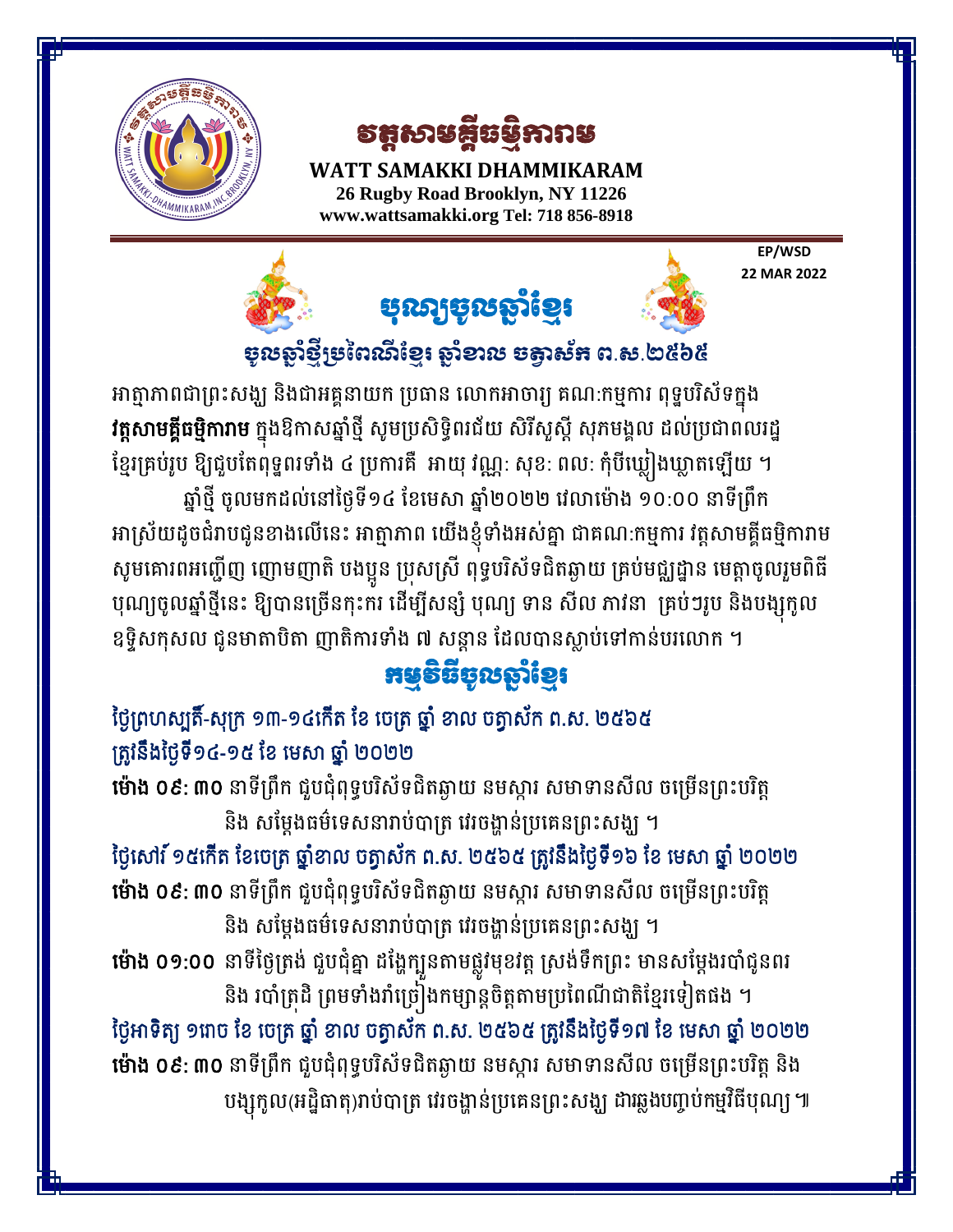

**HAMMIKARAM** 

វត្តសាមគ្គីធមមិការាម

**WATT SAMAKKI DHAMMIKARAM 26 Rugby Road Brooklyn, NY 11226 [www.wattsamakki.org](http://www.wattsamakki.org/) Tel: 718 856-8918**

> **EP/WSD 22 MAR 2022**



# ចូលឆ្នាំថ្មីម្រពៃណីខ្មែរ ឆ្នាំខាល ចត្វាស័ក ព.ស.២៥៦៥

អាត្មាភាពជាព្រះសង្ឃ និងជាអគ្គនាយក ប្រធាន លោកអាចារ្យ គណ:កម្មការ ពុទ្ធបរិស័ទក្នុង វ<mark>ត្តសាមគ្គីធម្មិការាម</mark> ក្នុងឱកាសឆ្នាំថ្មី សូមប្រសិទ្ធិពរជ័យ សិរីសូស្តី សុភមង្គល ដល់ប្រជាពលរដ្ឋ ខ្មែរគ្រប់រូប ឱ្យជួបតែពុទ្ធពរទាំង ៤ ប្រការគឺ អាយុ វណ្ណៈ សុខៈ ពល: កុំបីឃ្លៀងឃ្លាតឡើយ ។ ឆ្នាំថ្មី ចូលមកដល់នៅថ្ងៃទី១៤ ខែមេសា ឆ្នាំ២០២២ វេលាម៉ោង ១០:០០ នាទីព្រឹក អាស្រយដូចជរាបជូនខាងលេនេះ អាត្មាភាព យេងខ្ញុំទាងអស់គ្នា ជាគណៈកម្មការ វត្តសាមគ្គធម្មការាម សូមគោរពអញ្ជើញ ញោមញាតិ បងប្អូន ប្រុសស្រី ពុទ្ធបរិស័ទជិតឆ្ងាយ គ្រប់មជ្ឈដ្ឋាន មេត្តាចូលរួមពិធី បុណ្យចូលឆ្នាថ្មនេះ ឧ្យបានច្រេនកុះករ ដេម្បសន្ស បុណ្យ ទាន សល ភាវនា គ្របៗរូប នងបង្សុកូល ឧទ្ទិសកុសល ជូនមាតាបិតា ញាតិការទាំង ៧ សន្តាន ដែលបានស្លាប់ទៅកាន់បរលោក ។

# កម្មទីធីមូលឆ្នាំខ្មែរ

## ថ្ងៃព្រហស្បតិ៍-សុក្រ ១៣-១៤កើត ខែ ចេត្រ ឆ្នាំ ខាល ចត្វាស័ក ព.ស. ២៥៦៥ ត្រូវនឹងថ្ងៃទី១៤-១៥ ខែ មេសា ឆ្នាំ ២០២២

**ម៉ោង ០៩: ៣០** នាទីព្រឹក ជួបជុំពុទ្ធបរិស័ទជិតឆ្ងាយ នមស្តារ សមាទានសីល ចម្រើនព្រះបរិត្ត និង សម្តែងធម៌ទេសនារាប់បាត្រ វេរចង្ហាន់ប្រគេនព្រះសង្ឃ ។

ថ្ងៃសៅរ៍ ១៥កើត ខែចេត្រ ឆ្នាំខាល ចត្វាស័ក ព.ស. ២៥៦៥ ត្រូវនឹងថ្ងៃទី១៦ ខែ មេសា ឆ្នាំ ២០២២ យ៉ាង ០៩: ៣០ នាទីព្រឹក ជួបជុំពុទ្ធបរិស័ទជិតឆ្ងាយ នមស្ការ សមាទានសីល ចម្រើនព្រះបរិត្ត និង សម្តែងធម៌ទេសនារាប់បាត្រ វេរចង្ហាន់ប្រគេនព្រះសង្ឃ ។

**មោង ០១:០០** នាទថ្ងេត្រង់ ជួបជុគ្នា ដង្ហេក្បួនតាមផ្លូវមុខវត្ត ស្រង់ទកព្រះ មានសម្តេងរបាជូនពរ និង របាំត្រដិ ព្រមទាំងរាំច្រៀងកម្សាន្តចិត្តតាមប្រពៃណីជាតិខ្មែរទៀតផង ។ ថ្ងៃអាទិត្យ ១ពាច ខែ ចេត្រ ឆ្នាំ ខាល ចត្វាស័ក ព.ស. ២៥៦៥ ត្រូវនឹងថ្ងៃទី១៧ ខែ មេសា ឆ្នាំ ២០២២

យ៉ាង ០៩: ៣០ នាទីព្រឹក ជួបជុំពុទ្ធបរិស័ទជិតឆ្ងាយ នមស្ការ សមាទានសីល ចម្រើនព្រះបរិត្ត និង បង្សុកូល(អដ្ឋធាតុ)រាបបាត្រ វេរចង្ហានប្រគេនព្រះសង្ឃ ដារឆ្លងបព្វបកម្មរធបុណ្យ ៕